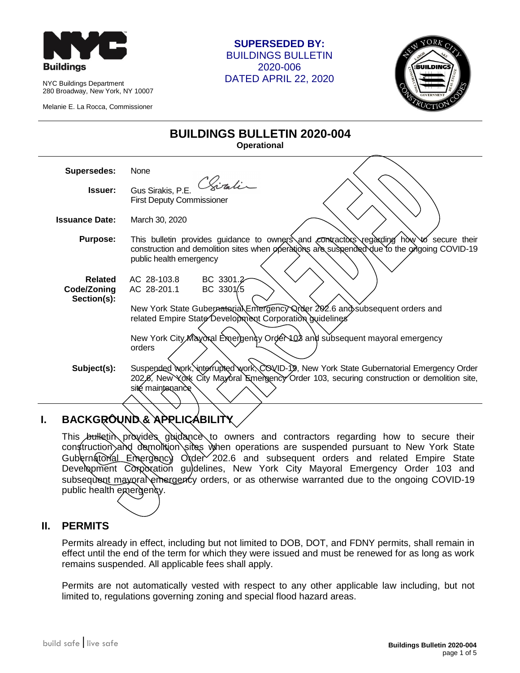

NYC Buildings Department 280 Broadway, New York, NY 10007

Melanie E. La Rocca, Commissioner

#### **SUPERSEDED BY:** BUILDINGS BULLETIN 2020-006 DATED APRIL 22, 2020



# **BUILDINGS BULLETIN 2020-004**

**Operational**

| <b>Supersedes:</b>                           | None                                                                                                                                                                                                                                                                                                |
|----------------------------------------------|-----------------------------------------------------------------------------------------------------------------------------------------------------------------------------------------------------------------------------------------------------------------------------------------------------|
| Issuer:                                      | Chiratin<br>Gus Sirakis, P.E.<br><b>First Deputy Commissioner</b>                                                                                                                                                                                                                                   |
| <b>Issuance Date:</b>                        | March 30, 2020                                                                                                                                                                                                                                                                                      |
| <b>Purpose:</b>                              | This bulletin provides guidance to owners and contractors regarding how to secure their<br>construction and demolition sites when operations are suspended due to the origoing COVID-19<br>public health emergency                                                                                  |
| <b>Related</b><br>Code/Zoning<br>Section(s): | BC 3301.2<br>AC 28-103.8<br>BC 3301.5<br>AC 28-201.1<br>New York State Gubernatorial Emergency Qrder 202.6 and subsequent orders and<br>related Empire State Development Corporation guidelines                                                                                                     |
| Subject(s):                                  | New York City Mayoral Emergency Order 103 and subsequent mayoral emergency<br>orders<br>Suspended work, interrupted work, COVID-19, New York State Gubernatorial Emergency Order<br>202,6, New York City Mayoral Emergency Order 103, securing construction or demolition site,<br>sité maintenance |

# **I. BACKGROUND & APPLICABILITY**

This bulletin provides guidance to owners and contractors regarding how to secure their construction and demolition sites when operations are suspended pursuant to New York State Gubernatorial Emergency Order 202.6 and subsequent orders and related Empire State Development Corporation guidelines, New York City Mayoral Emergency Order 103 and subsequent mayoral emergency orders, or as otherwise warranted due to the ongoing COVID-19 public health emergency.

#### **II. PERMITS**

Permits already in effect, including but not limited to DOB, DOT, and FDNY permits, shall remain in effect until the end of the term for which they were issued and must be renewed for as long as work remains suspended. All applicable fees shall apply.

Permits are not automatically vested with respect to any other applicable law including, but not limited to, regulations governing zoning and special flood hazard areas.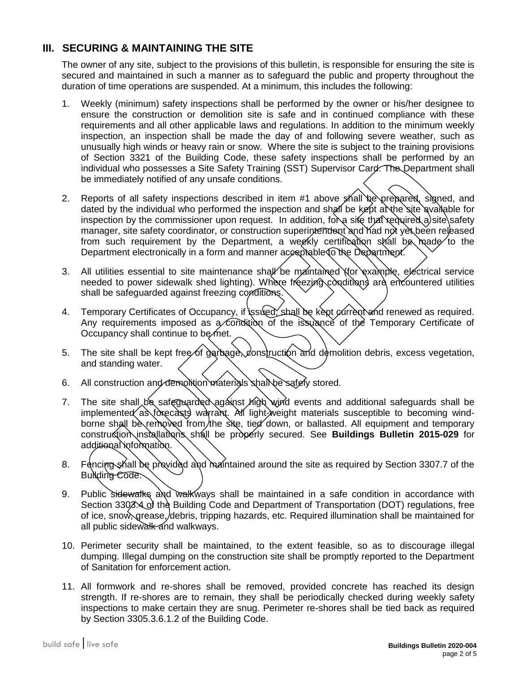#### **III. SECURING & MAINTAINING THE SITE**

The owner of any site, subject to the provisions of this bulletin, is responsible for ensuring the site is secured and maintained in such a manner as to safeguard the public and property throughout the duration of time operations are suspended. At a minimum, this includes the following:

- 1. Weekly (minimum) safety inspections shall be performed by the owner or his/her designee to ensure the construction or demolition site is safe and in continued compliance with these requirements and all other applicable laws and regulations. In addition to the minimum weekly inspection, an inspection shall be made the day of and following severe weather, such as unusually high winds or heavy rain or snow. Where the site is subject to the training provisions of Section 3321 of the Building Code, these safety inspections shall be performed by an individual who possesses a Site Safety Training (SST) Supervisor Card. The Department shall be immediately notified of any unsafe conditions.
- 2. Reports of all safety inspections described in item #1 above shall be prepared, signed, and dated by the individual who performed the inspection and shall be kept at the site available for inspection by the commissioner upon request. In addition, for a site that required a site safety manager, site safety coordinator, or construction superintendent and had not yet been released from such requirement by the Department, a weekly certification shall be made to the Department electronically in a form and manner acceptable to the Department.
- 3. All utilities essential to site maintenance shall be maintained (for example, electrical service needed to power sidewalk shed lighting). Where freezing conditions are encountered utilities shall be safeguarded against freezing conditions.
- 4. Temporary Certificates of Occupancy, if *issued*, shall be kept current and renewed as required. Any requirements imposed as a condition of the issuance of the Temporary Certificate of Occupancy shall continue to be met.
- 5. The site shall be kept free of garbage, construction and demolition debris, excess vegetation, and standing water.
- 6. All construction and demolition materials shall be safely stored.
- 7. The site shall be safeguarded against high wind events and additional safeguards shall be implemented as forecasts warrant. All light-weight materials susceptible to becoming windborne shall be removed from the site, tied down, or ballasted. All equipment and temporary construction installations shall be properly secured. See **Buildings Bulletin 2015-029** for additional information.
- 8. Fencing shall be provided and maintained around the site as required by Section 3307.7 of the Building Code.
- 9. Public sidewalks and walkways shall be maintained in a safe condition in accordance with Section 3303.4 of the Building Code and Department of Transportation (DOT) regulations, free of ice, snow, grease, debris, tripping hazards, etc. Required illumination shall be maintained for all public sidewalk and walkways.
- 10. Perimeter security shall be maintained, to the extent feasible, so as to discourage illegal dumping. Illegal dumping on the construction site shall be promptly reported to the Department of Sanitation for enforcement action.
- 11. All formwork and re-shores shall be removed, provided concrete has reached its design strength. If re-shores are to remain, they shall be periodically checked during weekly safety inspections to make certain they are snug. Perimeter re-shores shall be tied back as required by Section 3305.3.6.1.2 of the Building Code.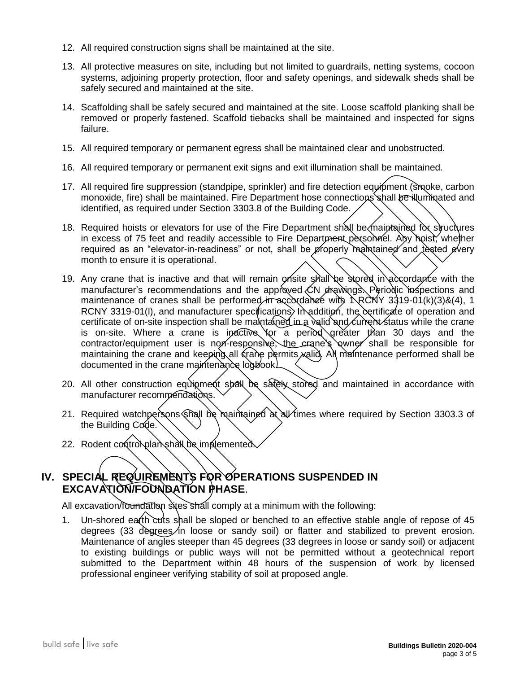- 12. All required construction signs shall be maintained at the site.
- 13. All protective measures on site, including but not limited to guardrails, netting systems, cocoon systems, adjoining property protection, floor and safety openings, and sidewalk sheds shall be safely secured and maintained at the site.
- 14. Scaffolding shall be safely secured and maintained at the site. Loose scaffold planking shall be removed or properly fastened. Scaffold tiebacks shall be maintained and inspected for signs failure.
- 15. All required temporary or permanent egress shall be maintained clear and unobstructed.
- 16. All required temporary or permanent exit signs and exit illumination shall be maintained.
- 17. All required fire suppression (standpipe, sprinkler) and fire detection equipment (smoke, carbon monoxide, fire) shall be maintained. Fire Department hose connections shall be illuminated and identified, as required under Section 3303.8 of the Building Code.
- 18. Required hoists or elevators for use of the Fire Department shall be maintained for structures in excess of 75 feet and readily accessible to Fire Department personnel. Any hoist, whether required as an "elevator-in-readiness" or not, shall be properly maintained and tested every month to ensure it is operational.
- 19. Any crane that is inactive and that will remain onsite shall be stored in accordance with the manufacturer's recommendations and the approved CN drawings. Periodic inspections and maintenance of cranes shall be performed in accordance with  $\Lambda$ RCNY 3319-01(k)(3)&(4), 1 RCNY 3319-01(I), and manufacturer specifications. In addition, the certificate of operation and certificate of on-site inspection shall be maintained in a valid and current status while the crane is on-site. Where a crane is inactive for a period greater than 30 days and the contractor/equipment user is non-responsive, the crane's owner shall be responsible for maintaining the crane and keeping all crane permits valid. All maintenance performed shall be documented in the crane maintenance logbook.
- 20. All other construction equipment shall be safely stored and maintained in accordance with manufacturer recommendations.
- 21. Required watchpersons shall be maintained at all times where required by Section 3303.3 of the Building Code.
- 22. Rodent control plan shall be implemented.

### **IV. SPECIAL REQUIREMENTS FOR OPERATIONS SUSPENDED IN EXCAVATION/FOUNDATION PHASE**.

All excavation/foundation sites shall comply at a minimum with the following:

1. Un-shored earth cuts shall be sloped or benched to an effective stable angle of repose of 45 degrees (33 degrees in loose or sandy soil) or flatter and stabilized to prevent erosion. Maintenance of angles steeper than 45 degrees (33 degrees in loose or sandy soil) or adjacent to existing buildings or public ways will not be permitted without a geotechnical report submitted to the Department within 48 hours of the suspension of work by licensed professional engineer verifying stability of soil at proposed angle.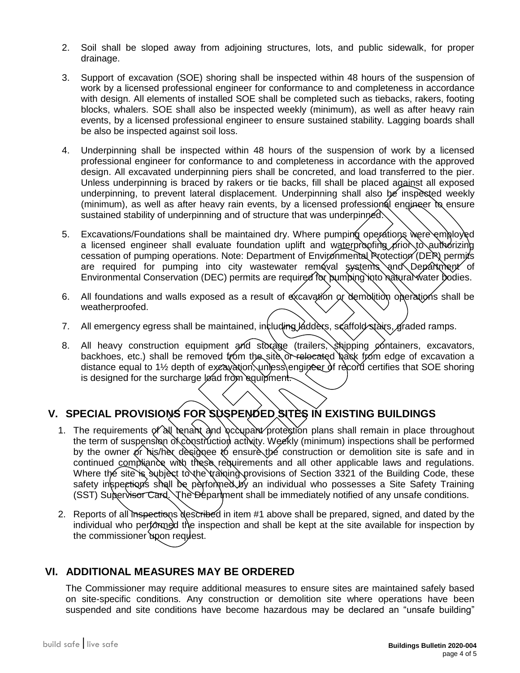- 2. Soil shall be sloped away from adjoining structures, lots, and public sidewalk, for proper drainage.
- 3. Support of excavation (SOE) shoring shall be inspected within 48 hours of the suspension of work by a licensed professional engineer for conformance to and completeness in accordance with design. All elements of installed SOE shall be completed such as tiebacks, rakers, footing blocks, whalers. SOE shall also be inspected weekly (minimum), as well as after heavy rain events, by a licensed professional engineer to ensure sustained stability. Lagging boards shall be also be inspected against soil loss.
- 4. Underpinning shall be inspected within 48 hours of the suspension of work by a licensed professional engineer for conformance to and completeness in accordance with the approved design. All excavated underpinning piers shall be concreted, and load transferred to the pier. Unless underpinning is braced by rakers or tie backs, fill shall be placed against all exposed underpinning, to prevent lateral displacement. Underpinning shall also be inspected weekly (minimum), as well as after heavy rain events, by a licensed professional engineer to ensure sustained stability of underpinning and of structure that was underpinned.
- 5. Excavations/Foundations shall be maintained dry. Where pumping operations were employed a licensed engineer shall evaluate foundation uplift and waterproofing prior to authorizing cessation of pumping operations. Note: Department of Environmental Protection (DEP) permits are required for pumping into city wastewater removal systems and Department of Environmental Conservation (DEC) permits are required for pumping into natural water bodies.
- 6. All foundations and walls exposed as a result of excavation or demolition operations shall be weatherproofed.
- 7. All emergency egress shall be maintained, including ladders, scaffold stairs, graded ramps.
- 8. All heavy construction equipment and storage (trailers, shipping containers, excavators, backhoes, etc.) shall be removed from the site or relecated back from edge of excavation a distance equal to 1<sup>1/2</sup> depth of excavation, unless engineer of record certifies that SOE shoring is designed for the surcharge load from equipment.

## **V. SPECIAL PROVISIONS FOR SUSPENDED SITES IN EXISTING BUILDINGS**

- 1. The requirements of all tenant and occupant protestion plans shall remain in place throughout the term of suspension of construction activity. Weekly (minimum) inspections shall be performed by the owner or his/her designee to ensure the construction or demolition site is safe and in continued compliance with these requirements and all other applicable laws and regulations. Where the site is subject to the training provisions of Section 3321 of the Building Code, these safety inspections shall be performed by an individual who possesses a Site Safety Training (SST) Supervisor Card. The Department shall be immediately notified of any unsafe conditions.
- 2. Reports of all inspections described in item #1 above shall be prepared, signed, and dated by the individual who performed the inspection and shall be kept at the site available for inspection by the commissioner upon request.

#### **VI. ADDITIONAL MEASURES MAY BE ORDERED**

The Commissioner may require additional measures to ensure sites are maintained safely based on site-specific conditions. Any construction or demolition site where operations have been suspended and site conditions have become hazardous may be declared an "unsafe building"